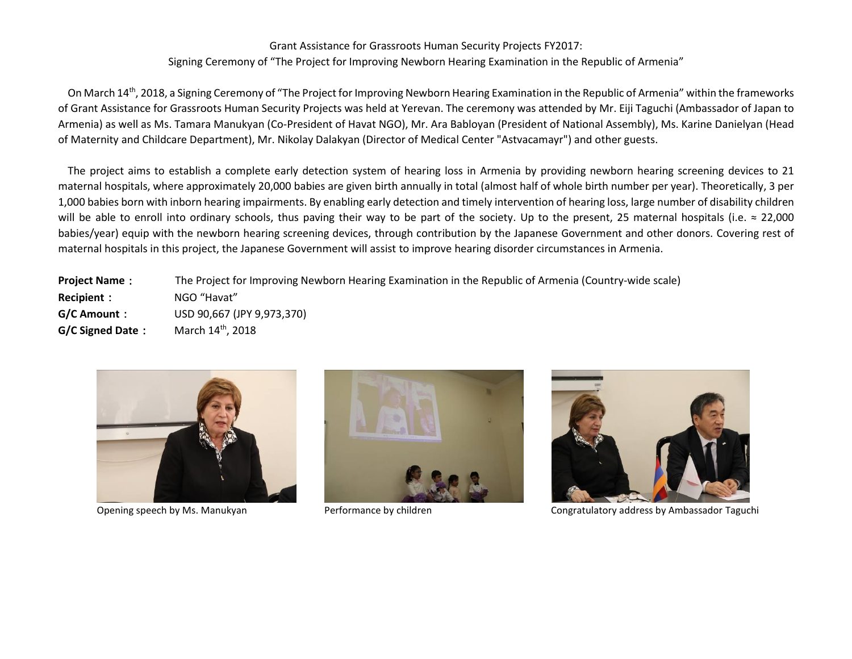## Grant Assistance for Grassroots Human Security Projects FY2017: Signing Ceremony of "The Project for Improving Newborn Hearing Examination in the Republic of Armenia"

On March 14<sup>th</sup>, 2018, a Signing Ceremony of "The Project for Improving Newborn Hearing Examination in the Republic of Armenia" within the frameworks of Grant Assistance for Grassroots Human Security Projects was held at Yerevan. The ceremony was attended by Mr. Eiji Taguchi (Ambassador of Japan to Armenia) as well as Ms. Tamara Manukyan (Co-President of Havat NGO), Mr. Ara Babloyan (President of National Assembly), Ms. Karine Danielyan (Head of Maternity and Childcare Department), Mr. Nikolay Dalakyan (Director of Medical Center "Astvacamayr") and other guests.

The project aims to establish a complete early detection system of hearing loss in Armenia by providing newborn hearing screening devices to 21 maternal hospitals, where approximately 20,000 babies are given birth annually in total (almost half of whole birth number per year). Theoretically, 3 per 1,000 babies born with inborn hearing impairments. By enabling early detection and timely intervention of hearing loss, large number of disability children will be able to enroll into ordinary schools, thus paving their way to be part of the society. Up to the present, 25 maternal hospitals (i.e.  $\approx 22,000$ babies/year) equip with the newborn hearing screening devices, through contribution by the Japanese Government and other donors. Covering rest of maternal hospitals in this project, the Japanese Government will assist to improve hearing disorder circumstances in Armenia.

**Project Name**: The Project for Improving Newborn Hearing Examination in the Republic of Armenia (Country-wide scale) **Recipient**: NGO "Havat" **G/C Amount**: USD 90,667 (JPY 9,973,370) **G/C Signed Date:** March 14th, 2018







Opening speech by Ms. Manukyan Performance by children Congratulatory address by Ambassador Taguchi